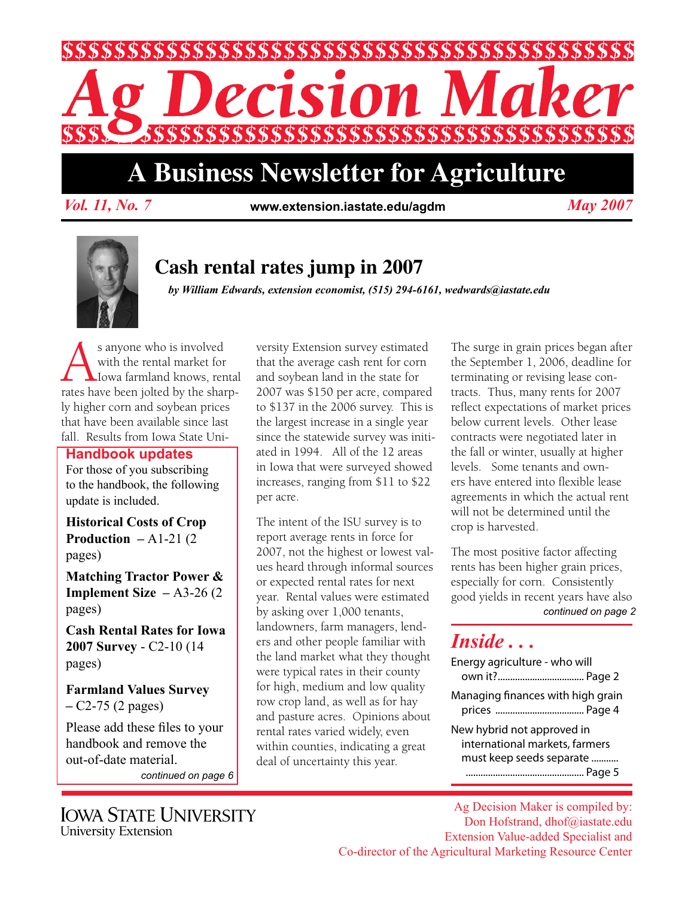

# **A Business Newsletter for Agriculture**

*Vol. 11, No. 7 May 2007* **www.extension.iastate.edu/agdm**



# **Cash rental rates jump in 2007**

*by William Edwards, extension economist, (515) 294-6161, wedwards@iastate.edu*

s anyone who is involved<br>with the rental market for<br>rates have been jolted by the share with the rental market for Iowa farmland knows, rental rates have been jolted by the sharply higher corn and soybean prices that have been available since last fall. Results from Iowa State Uni-

### **Handbook updates**

For those of you subscribing to the handbook, the following update is included.

**Historical Costs of Crop Production –** A1-21 (2 pages)

**Matching Tractor Power & Implement Size –** A3-26 (2 pages)

**Cash Rental Rates for Iowa 2007 Survey** - C2-10 (14 pages)

**Farmland Values Survey –** C2-75 (2 pages)

Please add these files to your handbook and remove the out-of-date material.

*continued on page 6*

**IOWA STATE UNIVERSITY** University Extension

versity Extension survey estimated that the average cash rent for corn and soybean land in the state for 2007 was \$150 per acre, compared to \$137 in the 2006 survey. This is the largest increase in a single year since the statewide survey was initiated in 1994. All of the 12 areas in Iowa that were surveyed showed increases, ranging from \$11 to \$22 per acre.

The intent of the ISU survey is to report average rents in force for 2007, not the highest or lowest values heard through informal sources or expected rental rates for next year. Rental values were estimated by asking over 1,000 tenants, landowners, farm managers, lenders and other people familiar with the land market what they thought were typical rates in their county for high, medium and low quality row crop land, as well as for hay and pasture acres. Opinions about rental rates varied widely, even within counties, indicating a great deal of uncertainty this year.

The surge in grain prices began after the September 1, 2006, deadline for terminating or revising lease contracts. Thus, many rents for 2007 reflect expectations of market prices below current levels. Other lease contracts were negotiated later in the fall or winter, usually at higher levels. Some tenants and owners have entered into flexible lease agreements in which the actual rent will not be determined until the crop is harvested.

*continued on page 2* The most positive factor affecting rents has been higher grain prices, especially for corn. Consistently good yields in recent years have also

### *Inside . . .*

| Energy agriculture - who will                                                            |
|------------------------------------------------------------------------------------------|
| Managing finances with high grain                                                        |
| New hybrid not approved in<br>international markets, farmers<br>must keep seeds separate |

Ag Decision Maker is compiled by: Don Hofstrand, dhof@iastate.edu Extension Value-added Specialist and Co-director of the Agricultural Marketing Resource Center